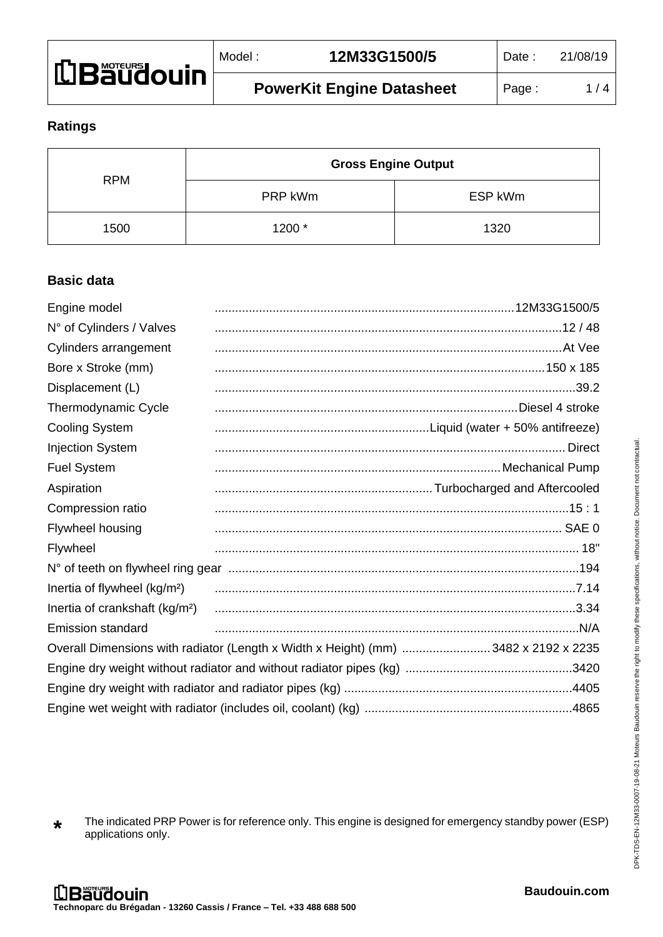| <b>Li Bäüdouin</b> | Model | 12M33G1500/5                     | <b>Date</b> | 21/08/19 |
|--------------------|-------|----------------------------------|-------------|----------|
|                    |       | <b>PowerKit Engine Datasheet</b> | Page        | / 4      |

## **Ratings**

| <b>RPM</b> | <b>Gross Engine Output</b> |         |
|------------|----------------------------|---------|
|            | PRP kWm                    | ESP kWm |
| 1500       | 1200 *                     | 1320    |

# **Basic data**

| Engine model                               |                                                                                    |               |
|--------------------------------------------|------------------------------------------------------------------------------------|---------------|
| N° of Cylinders / Valves                   |                                                                                    |               |
| Cylinders arrangement                      |                                                                                    |               |
| Bore x Stroke (mm)                         |                                                                                    |               |
| Displacement (L)                           |                                                                                    |               |
| Thermodynamic Cycle                        |                                                                                    |               |
| <b>Cooling System</b>                      |                                                                                    |               |
| <b>Injection System</b>                    |                                                                                    | <b>Direct</b> |
| <b>Fuel System</b>                         |                                                                                    |               |
| Aspiration                                 |                                                                                    |               |
| Compression ratio                          |                                                                                    |               |
| Flywheel housing                           |                                                                                    |               |
| Flywheel                                   |                                                                                    |               |
|                                            |                                                                                    |               |
| Inertia of flywheel (kg/m <sup>2</sup> )   |                                                                                    |               |
| Inertia of crankshaft (kg/m <sup>2</sup> ) |                                                                                    |               |
| <b>Emission standard</b>                   |                                                                                    |               |
|                                            | Overall Dimensions with radiator (Length x Width x Height) (mm) 3482 x 2192 x 2235 |               |
|                                            |                                                                                    |               |
|                                            |                                                                                    |               |
|                                            |                                                                                    |               |

**\*** The indicated PRP Power is for reference only. This engine is designed for emergency standby power (ESP) applications only.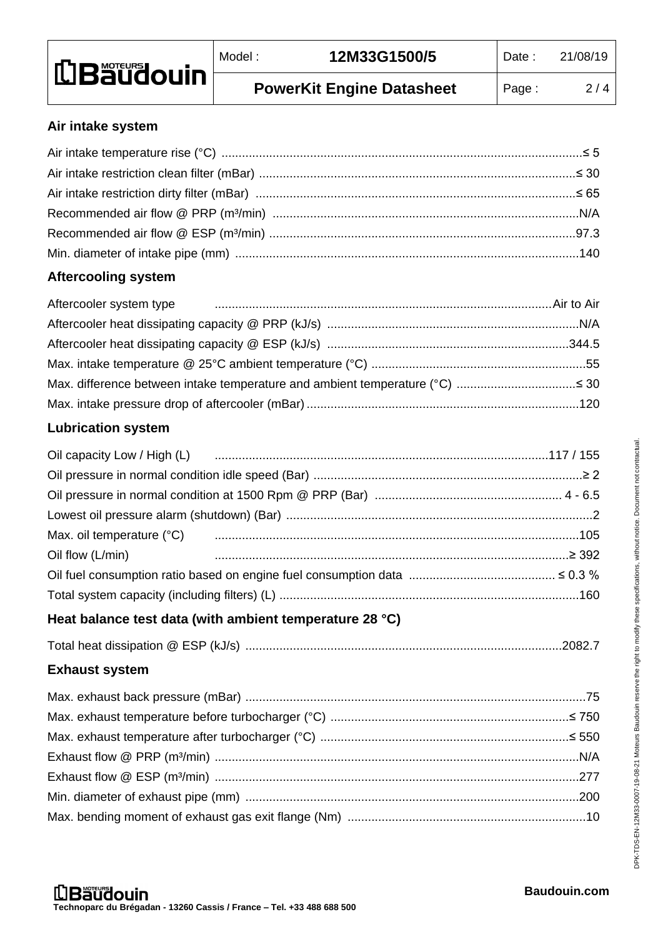| <b>LBaudouin</b> | Model | 12M33G1500/5                     | Date: | 21/08/19 |
|------------------|-------|----------------------------------|-------|----------|
|                  |       | <b>PowerKit Engine Datasheet</b> | Page: | 2/4      |

#### **Air intake system**

# **Aftercooling system**

| Aftercooler system type manufactured and the contract of the Air to Air to Air |  |
|--------------------------------------------------------------------------------|--|
|                                                                                |  |
|                                                                                |  |
|                                                                                |  |
|                                                                                |  |
|                                                                                |  |

# **Lubrication system**

| Max. oil temperature (°C) manufacture (000 minimum contracto contracto manufacture (000 minimum contracto mini |  |
|----------------------------------------------------------------------------------------------------------------|--|
| Oil flow (L/min) 2392                                                                                          |  |
|                                                                                                                |  |
|                                                                                                                |  |

# **Heat balance test data (with ambient temperature 28 °C)**

|--|--|

# **Exhaust system**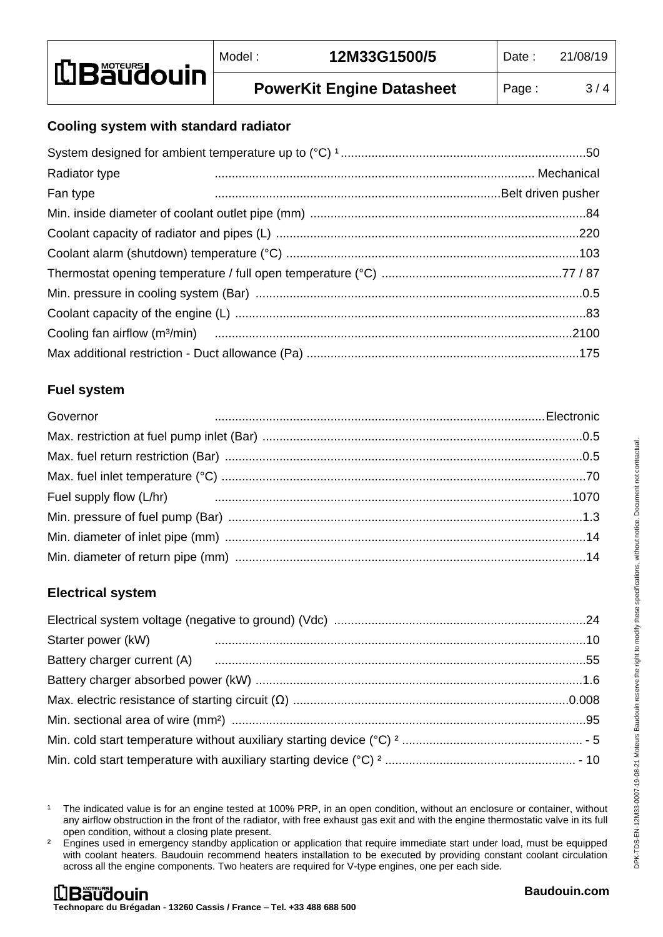## **Cooling system with standard radiator**

| Radiator type |  |
|---------------|--|
| Fan type      |  |
|               |  |
|               |  |
|               |  |
|               |  |
|               |  |
|               |  |
|               |  |
|               |  |

### **Fuel system**

| Governor |  |
|----------|--|
|          |  |
|          |  |
|          |  |
|          |  |
|          |  |
|          |  |
|          |  |

### **Electrical system**

| Starter power (kW) |  |
|--------------------|--|
|                    |  |
|                    |  |
|                    |  |
|                    |  |
|                    |  |
|                    |  |
|                    |  |

<sup>1</sup> The indicated value is for an engine tested at 100% PRP, in an open condition, without an enclosure or container, without any airflow obstruction in the front of the radiator, with free exhaust gas exit and with the engine thermostatic valve in its full open condition, without a closing plate present.

<sup>2</sup> Engines used in emergency standby application or application that require immediate start under load, must be equipped with coolant heaters. Baudouin recommend heaters installation to be executed by providing constant coolant circulation across all the engine components. Two heaters are required for V-type engines, one per each side.